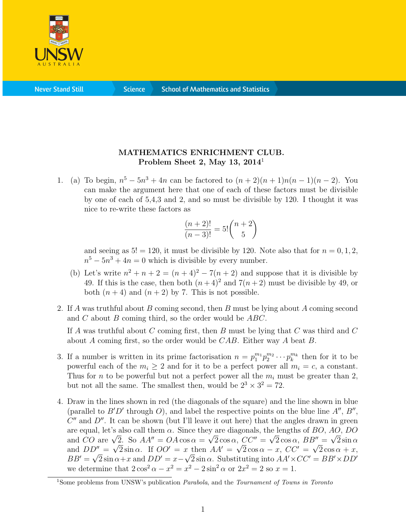

**Never Stand Still** 

**Science** 

## MATHEMATICS ENRICHMENT CLUB. Problem Sheet 2, May 13,  $2014<sup>1</sup>$

1. (a) To begin,  $n^5 - 5n^3 + 4n$  can be factored to  $(n+2)(n+1)n(n-1)(n-2)$ . You can make the argument here that one of each of these factors must be divisible by one of each of 5,4,3 and 2, and so must be divisible by 120. I thought it was nice to re-write these factors as

$$
\frac{(n+2)!}{(n-3)!} = 5! \binom{n+2}{5}
$$

and seeing as  $5! = 120$ , it must be divisible by 120. Note also that for  $n = 0, 1, 2$ ,  $n^5 - 5n^3 + 4n = 0$  which is divisible by every number.

- (b) Let's write  $n^2 + n + 2 = (n+4)^2 7(n+2)$  and suppose that it is divisible by 49. If this is the case, then both  $(n+4)^2$  and  $7(n+2)$  must be divisible by 49, or both  $(n+4)$  and  $(n+2)$  by 7. This is not possible.
- 2. If A was truthful about B coming second, then B must be lying about A coming second and  $C$  about  $B$  coming third, so the order would be  $ABC$ .

If A was truthful about C coming first, then B must be lying that C was third and C about A coming first, so the order would be  $CAB$ . Either way A beat B.

- 3. If a number is written in its prime factorisation  $n = p_1^{m_1} p_2^{m_2} \cdots p_k^{m_k}$  then for it to be powerful each of the  $m_i \geq 2$  and for it to be a perfect power all  $m_i = c$ , a constant. Thus for n to be powerful but not a perfect power all the  $m_i$  must be greater than 2. but not all the same. The smallest then, would be  $2^3 \times 3^2 = 72$ .
- 4. Draw in the lines shown in red (the diagonals of the square) and the line shown in blue (parallel to  $B'D'$  through O), and label the respective points on the blue line  $A'', B''$ ,  $C''$  and  $D''$ . It can be shown (but I'll leave it out here) that the angles drawn in green are equal, let's also call them  $\alpha$ . Since they are diagonals, the lengths of BO, AO, DO are equal, let's also call them  $\alpha$ . Since they are diagonals, the lengths of BO, AO, DO<br>and CO are  $\sqrt{2}$ . So  $AA'' = OA \cos \alpha = \sqrt{2} \cos \alpha$ ,  $CC'' = \sqrt{2} \cos \alpha$ ,  $BB'' = \sqrt{2} \sin \alpha$ and  $DD'' = \sqrt{2} \sin \alpha$ . If  $OO' = x$  then  $AA' = \sqrt{2} \cos \alpha - x$ ,  $CC' = \sqrt{2} \cos \alpha + x$ ,  $BB' = \sqrt{2} \sin \alpha + x$  and  $DD' = x - \sqrt{2} \sin \alpha$ . Substituting into  $AA' \times CC' = BB' \times DD'$ we determine that  $2\cos^2\alpha - x^2 = x^2 - 2\sin^2\alpha$  or  $2x^2 = 2$  so  $x = 1$ .

<sup>&</sup>lt;sup>1</sup>Some problems from UNSW's publication *Parabola*, and the *Tournament of Towns in Toronto*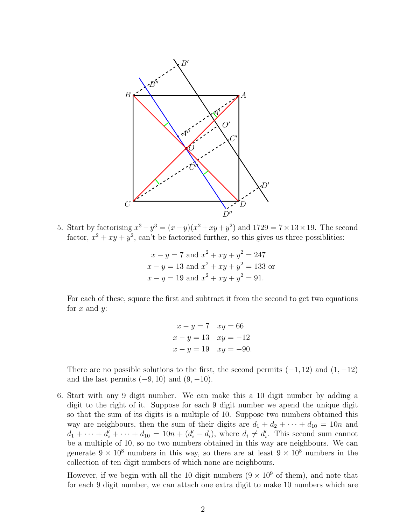

5. Start by factorising  $x^3 - y^3 = (x - y)(x^2 + xy + y^2)$  and  $1729 = 7 \times 13 \times 19$ . The second factor,  $x^2 + xy + y^2$ , can't be factorised further, so this gives us three possibilities:

$$
x - y = 7 \text{ and } x^2 + xy + y^2 = 247
$$
  
\n
$$
x - y = 13 \text{ and } x^2 + xy + y^2 = 133 \text{ or}
$$
  
\n
$$
x - y = 19 \text{ and } x^2 + xy + y^2 = 91.
$$

For each of these, square the first and subtract it from the second to get two equations for  $x$  and  $y$ :

$$
x - y = 7 \quad xy = 66
$$
  
\n
$$
x - y = 13 \quad xy = -12
$$
  
\n
$$
x - y = 19 \quad xy = -90.
$$

There are no possible solutions to the first, the second permits  $(-1, 12)$  and  $(1, -12)$ and the last permits  $(-9, 10)$  and  $(9, -10)$ .

6. Start with any 9 digit number. We can make this a 10 digit number by adding a digit to the right of it. Suppose for each 9 digit number we apend the unique digit so that the sum of its digits is a multiple of 10. Suppose two numbers obtained this way are neighbours, then the sum of their digits are  $d_1 + d_2 + \cdots + d_{10} = 10n$  and  $d_1 + \cdots + d'_i + \cdots + d_{10} = 10n + (d'_i - d_i)$ , where  $d_i \neq d'_i$ . This second sum cannot be a multiple of 10, so no two numbers obtained in this way are neighbours. We can generate  $9 \times 10^8$  numbers in this way, so there are at least  $9 \times 10^8$  numbers in the collection of ten digit numbers of which none are neighbours.

However, if we begin with all the 10 digit numbers  $(9 \times 10^9)$  of them), and note that for each 9 digit number, we can attach one extra digit to make 10 numbers which are